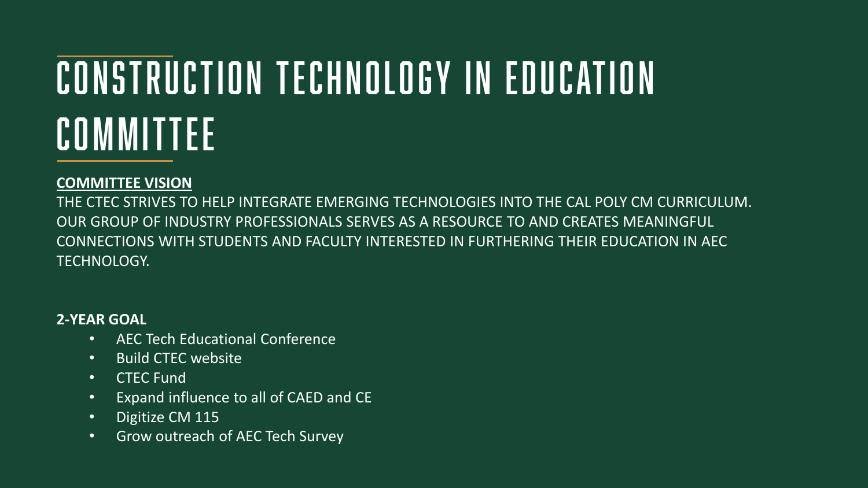# Construction Technology in Education Committee

## **COMMITTEE VISION**

THE CTEC STRIVES TO HELP INTEGRATE EMERGING TECHNOLOGIES INTO THE CAL POLY CM CURRICULUM. OUR GROUP OF INDUSTRY PROFESSIONALS SERVES AS A RESOURCE TO AND CREATES MEANINGFUL CONNECTIONS WITH STUDENTS AND FACULTY INTERESTED IN FURTHERING THEIR EDUCATION IN AEC TECHNOLOGY.

### **2-YEAR GOAL**

- AEC Tech Educational Conference
- Build CTEC website
- CTEC Fund
- Expand influence to all of CAED and CE
- Digitize CM 115
- Grow outreach of AEC Tech Survey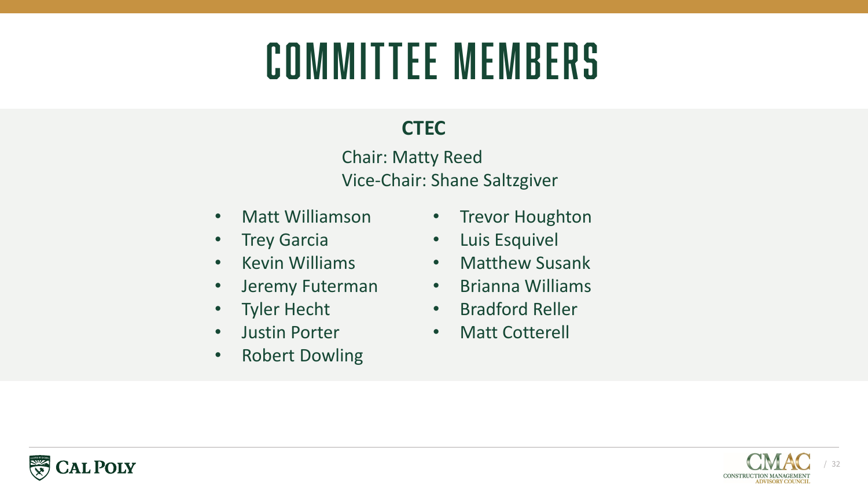# Committee Members

# **CTEC**

Chair: Matty Reed Vice-Chair: Shane Saltzgiver

- Matt Williamson
- Trey Garcia
- Kevin Williams
- Jeremy Futerman
- Tyler Hecht
- Justin Porter
- Robert Dowling
- Trevor Houghton
- Luis Esquivel
- Matthew Susank
- Brianna Williams
- Bradford Reller
- Matt Cotterell